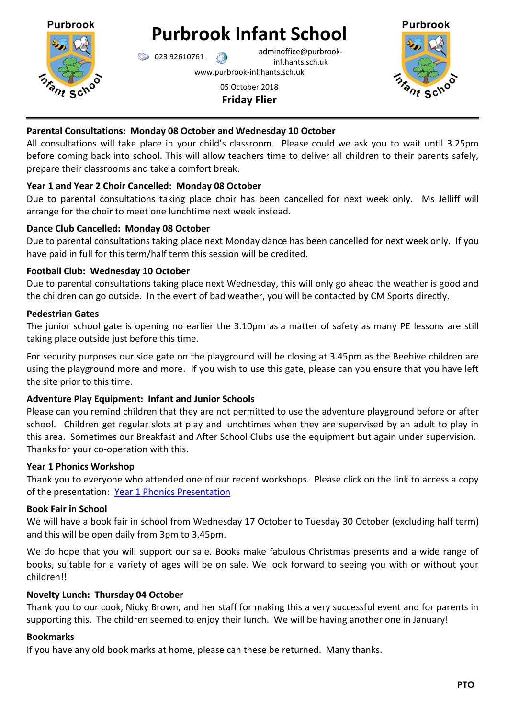

# **Purbrook Infant School**

 $\bigcirc$  023 92610761 adminoffice@purbrookinf.hants.sch.uk

www.purbrook-inf.hants.sch.uk

#### 05 October 2018 **Friday Flier**



# **Parental Consultations: Monday 08 October and Wednesday 10 October**

All consultations will take place in your child's classroom. Please could we ask you to wait until 3.25pm before coming back into school. This will allow teachers time to deliver all children to their parents safely, prepare their classrooms and take a comfort break.

# **Year 1 and Year 2 Choir Cancelled: Monday 08 October**

Due to parental consultations taking place choir has been cancelled for next week only. Ms Jelliff will arrange for the choir to meet one lunchtime next week instead.

## **Dance Club Cancelled: Monday 08 October**

Due to parental consultations taking place next Monday dance has been cancelled for next week only. If you have paid in full for this term/half term this session will be credited.

## **Football Club: Wednesday 10 October**

Due to parental consultations taking place next Wednesday, this will only go ahead the weather is good and the children can go outside. In the event of bad weather, you will be contacted by CM Sports directly.

## **Pedestrian Gates**

The junior school gate is opening no earlier the 3.10pm as a matter of safety as many PE lessons are still taking place outside just before this time.

For security purposes our side gate on the playground will be closing at 3.45pm as the Beehive children are using the playground more and more. If you wish to use this gate, please can you ensure that you have left the site prior to this time.

## **Adventure Play Equipment: Infant and Junior Schools**

Please can you remind children that they are not permitted to use the adventure playground before or after school. Children get regular slots at play and lunchtimes when they are supervised by an adult to play in this area. Sometimes our Breakfast and After School Clubs use the equipment but again under supervision. Thanks for your co-operation with this.

## **Year 1 Phonics Workshop**

Thank you to everyone who attended one of our recent workshops. Please click on the link to access a copy of the presentation: [Year 1 Phonics Presentation](https://www.purbrook-inf.hants.sch.uk/wp-content/uploads/2018/10/An-Introduction-to-Phonics-in-Year-1-2018.pdf)

## **Book Fair in School**

We will have a book fair in school from Wednesday 17 October to Tuesday 30 October (excluding half term) and this will be open daily from 3pm to 3.45pm.

We do hope that you will support our sale. Books make fabulous Christmas presents and a wide range of books, suitable for a variety of ages will be on sale. We look forward to seeing you with or without your children!!

## **Novelty Lunch: Thursday 04 October**

Thank you to our cook, Nicky Brown, and her staff for making this a very successful event and for parents in supporting this. The children seemed to enjoy their lunch. We will be having another one in January!

#### **Bookmarks**

If you have any old book marks at home, please can these be returned. Many thanks.